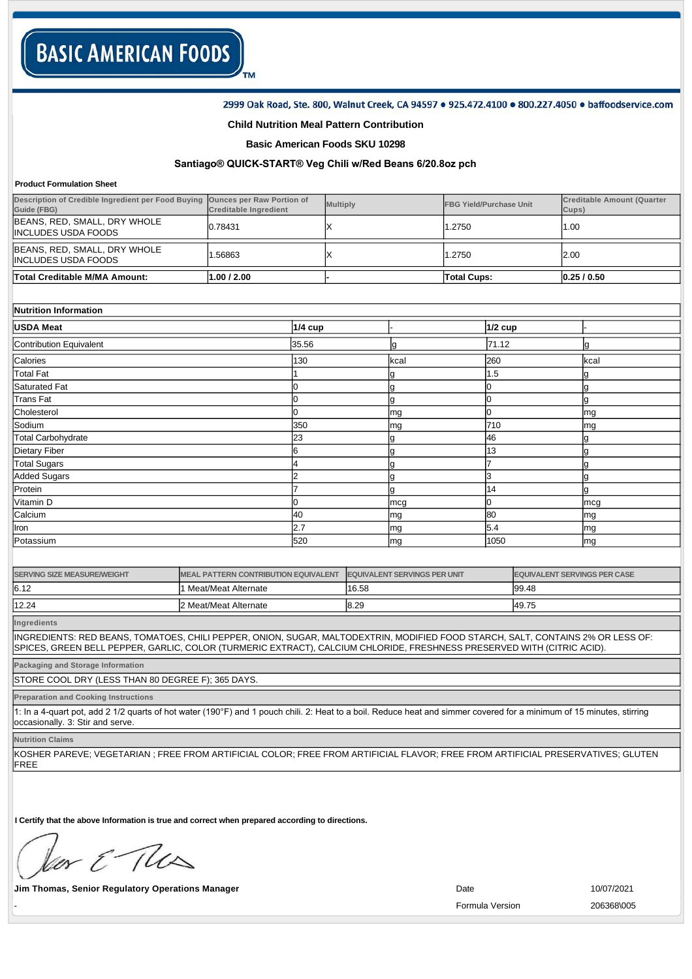### 2999 Oak Road, Ste. 800, Walnut Creek, CA 94597 . 925.472.4100 . 800.227.4050 . baffoodservice.com

### **Child Nutrition Meal Pattern Contribution**

TM

## **Basic American Foods SKU 10298**

# **Santiago® QUICKSTART® Veg Chili w/Red Beans 6/20.8oz pch**

#### **Product Formulation Sheet**

| lTotal Creditable M/MA Amount:                                                              | 1.00 / 2.00                  |                 | <b>Total Cups:</b>             | 0.25/0.50                                  |
|---------------------------------------------------------------------------------------------|------------------------------|-----------------|--------------------------------|--------------------------------------------|
| BEANS, RED, SMALL, DRY WHOLE<br>IINCLUDES USDA FOODS                                        | .56863                       |                 | 1.2750                         | 2.00                                       |
| BEANS, RED, SMALL, DRY WHOLE<br>IINCLUDES USDA FOODS                                        | 0.78431                      |                 | 1.2750                         | l .00                                      |
| Description of Credible Ingredient per Food Buying Ounces per Raw Portion of<br>Guide (FBG) | <b>Creditable Ingredient</b> | <b>Multiply</b> | <b>FBG Yield/Purchase Unit</b> | <b>Creditable Amount (Quarter</b><br>Cups) |

| Nutrition Information |  |
|-----------------------|--|
|                       |  |

| <b>USDA Meat</b>        | <b>1/4 cup</b> |      | $1/2$ cup |      |
|-------------------------|----------------|------|-----------|------|
| Contribution Equivalent | 35.56          | ıg   | 71.12     | g    |
| Calories                | 130            | kcal | 260       | kcal |
| Total Fat               |                | g    | 1.5       | Ig   |
| Saturated Fat           |                | g    |           | ıg   |
| <b>Trans Fat</b>        |                | g    |           | g    |
| Cholesterol             |                | mg   |           | mg   |
| Sodium                  | 350            | mg   | 710       | mg   |
| Total Carbohydrate      | 23             | g    | 46        | Ig   |
| Dietary Fiber           | 6              |      | 13        | Ig   |
| <b>Total Sugars</b>     |                |      |           | ıg   |
| <b>Added Sugars</b>     | Is             |      | 3         | ıg   |
| Protein                 |                |      | 14        | Ig   |
| Vitamin D               |                | mcg  |           | mcg  |
| Calcium                 | 40             | mg   | 80        | mg   |
| Iron                    | 2.7            | mg   | 5.4       | mg   |
| Potassium               | 520            | mg   | 1050      | mg   |

| <b>SERVING SIZE MEASURE/WEIGHT</b> | MEAL PATTERN CONTRIBUTION EQUIVALENT | <b>EQUIVALENT SERVINGS PER UNIT</b> | <b>EQUIVALENT SERVINGS PER CASE</b> |
|------------------------------------|--------------------------------------|-------------------------------------|-------------------------------------|
| 6.12                               | Meat/Meat Alternate                  | 16.58                               | 99.48                               |
| 12.24                              | 2 Meat/Meat Alternate                | 8.29                                | 49.75                               |

**Ingredients**

INGREDIENTS: RED BEANS, TOMATOES, CHILI PEPPER, ONION, SUGAR, MALTODEXTRIN, MODIFIED FOOD STARCH, SALT, CONTAINS 2% OR LESS OF: SPICES, GREEN BELL PEPPER, GARLIC, COLOR (TURMERIC EXTRACT), CALCIUM CHLORIDE, FRESHNESS PRESERVED WITH (CITRIC ACID).

**Packaging and Storage Information**

STORE COOL DRY (LESS THAN 80 DEGREE F); 365 DAYS.

**Preparation and Cooking Instructions**

1: In a 4quart pot, add 2 1/2 quarts of hot water (190°F) and 1 pouch chili. 2: Heat to a boil. Reduce heat and simmer covered for a minimum of 15 minutes, stirring occasionally. 3: Stir and serve.

**Nutrition Claims**

KOSHER PAREVE; VEGETARIAN ; FREE FROM ARTIFICIAL COLOR; FREE FROM ARTIFICIAL FLAVOR; FREE FROM ARTIFICIAL PRESERVATIVES; GLUTEN FREE

**I Certify that the above Information is true and correct when prepared according to directions.** 

or E This

**Jim Thomas, Senior Regulatory Operations Manager Community Community Community Community Community Community Community Community Community Community Community Community Community Community Community Community Community** 

- Formula Version 206368\005